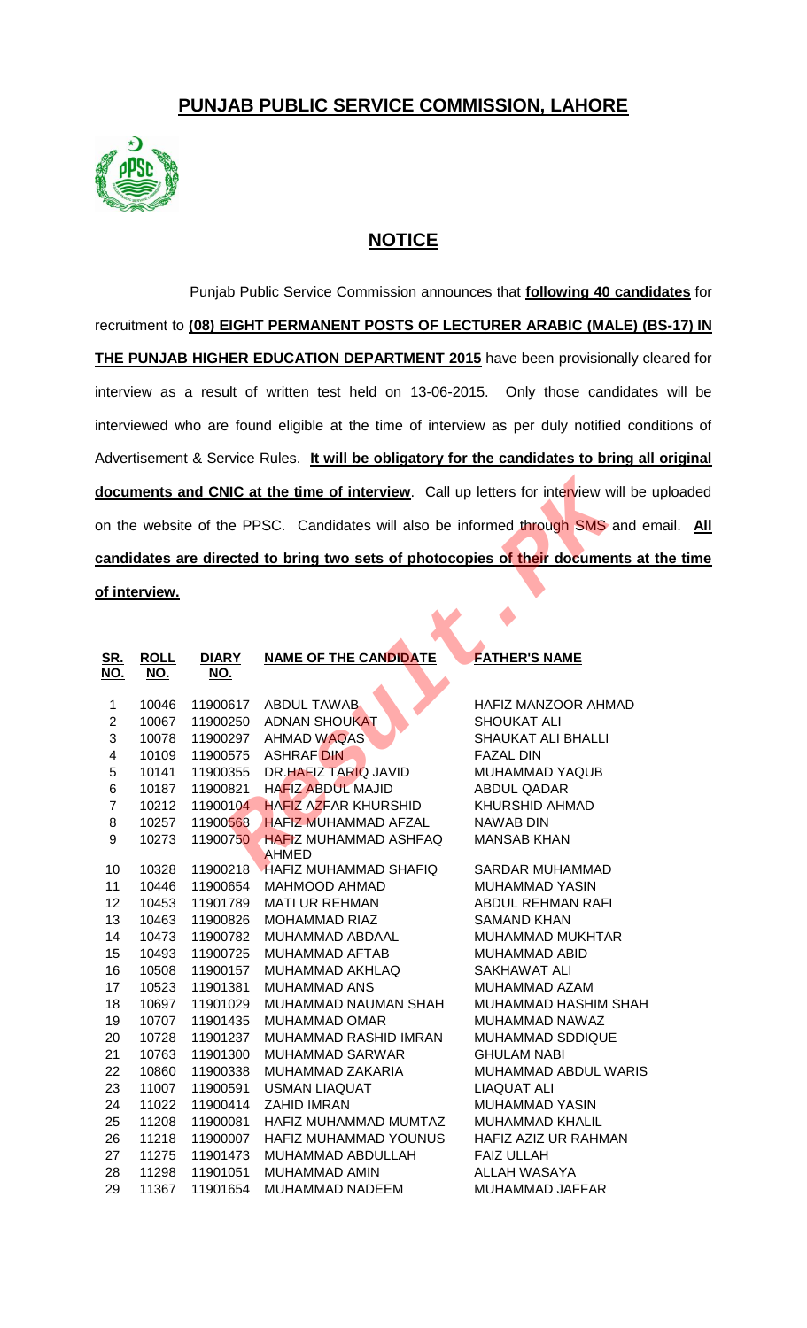## **PUNJAB PUBLIC SERVICE COMMISSION, LAHORE**



## **NOTICE**

Punjab Public Service Commission announces that **following 40 candidates** for recruitment to **(08) EIGHT PERMANENT POSTS OF LECTURER ARABIC (MALE) (BS-17) IN THE PUNJAB HIGHER EDUCATION DEPARTMENT 2015** have been provisionally cleared for interview as a result of written test held on 13-06-2015. Only those candidates will be interviewed who are found eligible at the time of interview as per duly notified conditions of Advertisement & Service Rules. **It will be obligatory for the candidates to bring all original**  documents and CNIC at the time of interview. Call up letters for interview will be uploaded on the website of the PPSC. Candidates will also be informed through SMS and email. **All candidates are directed to bring two sets of photocopies of their documents at the time of interview.**

| documents and CNIC at the time of interview. Call up letters for interview will be |                    |                            |                              |                             |  |  |  |
|------------------------------------------------------------------------------------|--------------------|----------------------------|------------------------------|-----------------------------|--|--|--|
| on the website of the PPSC. Candidates will also be informed through SMS and e     |                    |                            |                              |                             |  |  |  |
| candidates are directed to bring two sets of photocopies of their documents at     |                    |                            |                              |                             |  |  |  |
| <u>of interview.</u>                                                               |                    |                            |                              |                             |  |  |  |
|                                                                                    |                    |                            |                              |                             |  |  |  |
|                                                                                    |                    |                            |                              |                             |  |  |  |
| <u>SR.</u><br><u>NO.</u>                                                           | <b>ROLL</b><br>NO. | <b>DIARY</b><br><u>NO.</u> | <b>NAME OF THE CANDIDATE</b> | <b>FATHER'S NAME</b>        |  |  |  |
| 1                                                                                  | 10046              | 11900617                   | <b>ABDUL TAWAB</b>           | HAFIZ MANZOOR AHMAD         |  |  |  |
| $\overline{\mathbf{c}}$                                                            | 10067              | 11900250                   | <b>ADNAN SHOUKAT</b>         | <b>SHOUKAT ALI</b>          |  |  |  |
| 3                                                                                  | 10078              | 11900297                   | <b>AHMAD WAQAS</b>           | SHAUKAT ALI BHALLI          |  |  |  |
| $\overline{\mathbf{4}}$                                                            | 10109              | 11900575                   | <b>ASHRAF DIN</b>            | <b>FAZAL DIN</b>            |  |  |  |
| 5                                                                                  | 10141              | 11900355                   | DR.HAEIZ TARIQ JAVID         | MUHAMMAD YAQUB              |  |  |  |
| $\,6$                                                                              | 10187              | 11900821                   | <b>HAFIZ ABDUL MAJID</b>     | ABDUL QADAR                 |  |  |  |
| $\overline{7}$                                                                     | 10212              | 11900104                   | <b>HAFIZ AZFAR KHURSHID</b>  | <b>KHURSHID AHMAD</b>       |  |  |  |
| 8                                                                                  | 10257              | 11900568                   | <b>HAFIZ MUHAMMAD AFZAL</b>  | <b>NAWAB DIN</b>            |  |  |  |
| 9                                                                                  | 10273              | 11900750                   | <b>HAFIZ MUHAMMAD ASHFAQ</b> | <b>MANSAB KHAN</b>          |  |  |  |
|                                                                                    |                    |                            | <b>AHMED</b>                 |                             |  |  |  |
| 10                                                                                 | 10328              | 11900218                   | <b>HAFIZ MUHAMMAD SHAFIQ</b> | SARDAR MUHAMMAD             |  |  |  |
| 11                                                                                 | 10446              | 11900654                   | <b>MAHMOOD AHMAD</b>         | <b>MUHAMMAD YASIN</b>       |  |  |  |
| 12                                                                                 | 10453              | 11901789                   | <b>MATI UR REHMAN</b>        | <b>ABDUL REHMAN RAFI</b>    |  |  |  |
| 13                                                                                 | 10463              | 11900826                   | <b>MOHAMMAD RIAZ</b>         | <b>SAMAND KHAN</b>          |  |  |  |
| 14                                                                                 | 10473              | 11900782                   | MUHAMMAD ABDAAL              | <b>MUHAMMAD MUKHTAR</b>     |  |  |  |
| 15                                                                                 | 10493              | 11900725                   | MUHAMMAD AFTAB               | MUHAMMAD ABID               |  |  |  |
| 16                                                                                 | 10508              | 11900157                   | MUHAMMAD AKHLAQ              | SAKHAWAT ALI                |  |  |  |
| 17                                                                                 | 10523              | 11901381                   | MUHAMMAD ANS                 | MUHAMMAD AZAM               |  |  |  |
| 18                                                                                 | 10697              | 11901029                   | MUHAMMAD NAUMAN SHAH         | <b>MUHAMMAD HASHIM SHAH</b> |  |  |  |
| 19                                                                                 | 10707              | 11901435                   | MUHAMMAD OMAR                | MUHAMMAD NAWAZ              |  |  |  |
| 20                                                                                 | 10728              | 11901237                   | MUHAMMAD RASHID IMRAN        | MUHAMMAD SDDIQUE            |  |  |  |
| 21                                                                                 | 10763              | 11901300                   | MUHAMMAD SARWAR              | <b>GHULAM NABI</b>          |  |  |  |
| 22                                                                                 | 10860              | 11900338                   | MUHAMMAD ZAKARIA             | MUHAMMAD ABDUL WARIS        |  |  |  |
| 23                                                                                 | 11007              | 11900591                   | <b>USMAN LIAQUAT</b>         | LIAQUAT ALI                 |  |  |  |
| 24                                                                                 | 11022              | 11900414                   | <b>ZAHID IMRAN</b>           | <b>MUHAMMAD YASIN</b>       |  |  |  |
| 25                                                                                 | 11208              | 11900081                   | HAFIZ MUHAMMAD MUMTAZ        | MUHAMMAD KHALIL             |  |  |  |
| 26                                                                                 | 11218              | 11900007                   | HAFIZ MUHAMMAD YOUNUS        | HAFIZ AZIZ UR RAHMAN        |  |  |  |
| 27                                                                                 | 11275              | 11901473                   | MUHAMMAD ABDULLAH            | <b>FAIZ ULLAH</b>           |  |  |  |
| 28                                                                                 | 11298              | 11901051                   | MUHAMMAD AMIN                | <b>ALLAH WASAYA</b>         |  |  |  |
| 29                                                                                 | 11367              | 11901654                   | MUHAMMAD NADEEM              | MUHAMMAD JAFFAR             |  |  |  |